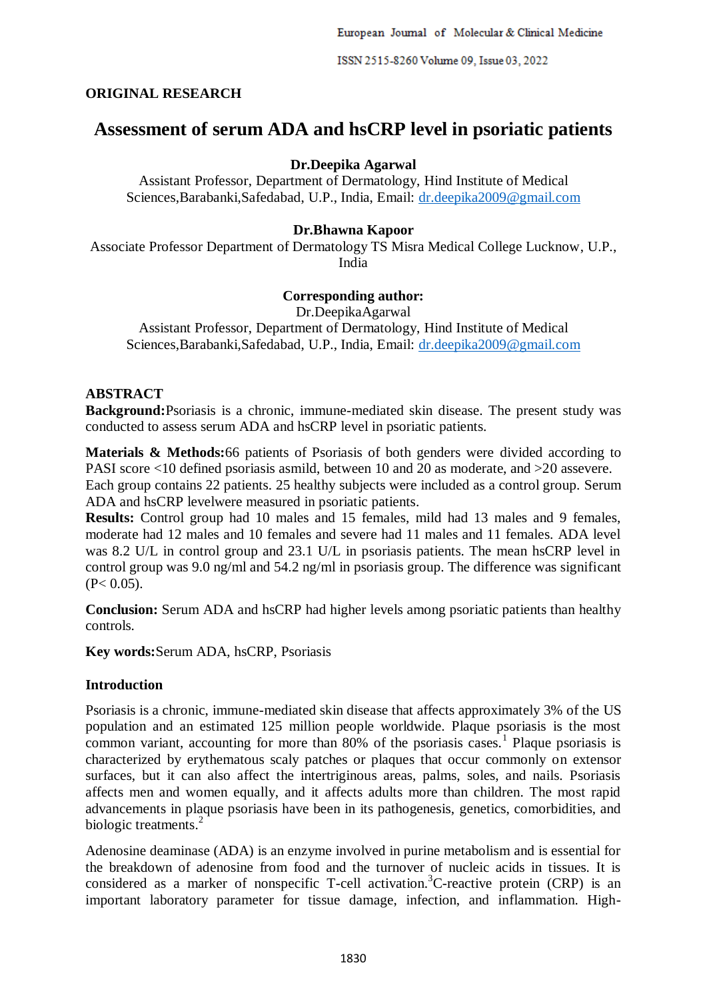ISSN 2515-8260 Volume 09, Issue 03, 2022

## **ORIGINAL RESEARCH**

# **Assessment of serum ADA and hsCRP level in psoriatic patients**

# **Dr.Deepika Agarwal**

Assistant Professor, Department of Dermatology, Hind Institute of Medical Sciences,Barabanki,Safedabad, U.P., India, Email: [dr.deepika2009@gmail.com](mailto:dr.deepika2009@gmail.com)

## **Dr.Bhawna Kapoor**

Associate Professor Department of Dermatology TS Misra Medical College Lucknow, U.P., India

## **Corresponding author:**

Dr.DeepikaAgarwal Assistant Professor, Department of Dermatology, Hind Institute of Medical Sciences,Barabanki,Safedabad, U.P., India, Email: [dr.deepika2009@gmail.com](mailto:dr.deepika2009@gmail.com)

## **ABSTRACT**

**Background:**Psoriasis is a chronic, immune-mediated skin disease. The present study was conducted to assess serum ADA and hsCRP level in psoriatic patients.

**Materials & Methods:**66 patients of Psoriasis of both genders were divided according to PASI score <10 defined psoriasis asmild, between 10 and 20 as moderate, and >20 assevere. Each group contains 22 patients. 25 healthy subjects were included as a control group. Serum ADA and hsCRP levelwere measured in psoriatic patients.

**Results:** Control group had 10 males and 15 females, mild had 13 males and 9 females, moderate had 12 males and 10 females and severe had 11 males and 11 females. ADA level was 8.2 U/L in control group and 23.1 U/L in psoriasis patients. The mean hsCRP level in control group was 9.0 ng/ml and 54.2 ng/ml in psoriasis group. The difference was significant  $(P< 0.05)$ .

**Conclusion:** Serum ADA and hsCRP had higher levels among psoriatic patients than healthy controls.

**Key words:**Serum ADA, hsCRP, Psoriasis

### **Introduction**

Psoriasis is a chronic, immune-mediated skin disease that affects approximately 3% of the US population and an estimated 125 million people worldwide. Plaque psoriasis is the most common variant, accounting for more than  $80\%$  of the psoriasis cases.<sup>1</sup> Plaque psoriasis is characterized by erythematous scaly patches or plaques that occur commonly on extensor surfaces, but it can also affect the intertriginous areas, palms, soles, and nails. Psoriasis affects men and women equally, and it affects adults more than children. The most rapid advancements in plaque psoriasis have been in its pathogenesis, genetics, comorbidities, and biologic treatments.<sup>2</sup>

Adenosine deaminase (ADA) is an enzyme involved in purine metabolism and is essential for the breakdown of adenosine from food and the turnover of nucleic acids in tissues. It is considered as a marker of nonspecific T-cell activation.<sup>3</sup>C-reactive protein (CRP) is an important laboratory parameter for tissue damage, infection, and inflammation. High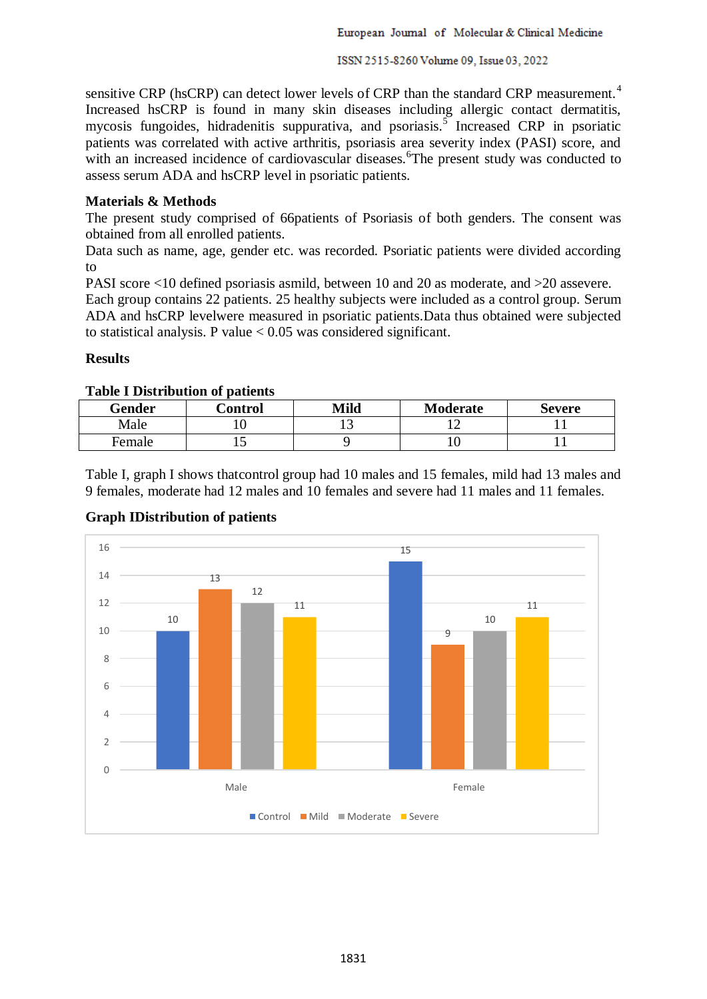ISSN 2515-8260 Volume 09, Issue 03, 2022

sensitive CRP (hsCRP) can detect lower levels of CRP than the standard CRP measurement.<sup>4</sup> Increased hsCRP is found in many skin diseases including allergic contact dermatitis, mycosis fungoides, hidradenitis suppurativa, and psoriasis.<sup>5</sup> Increased CRP in psoriatic patients was correlated with active arthritis, psoriasis area severity index (PASI) score, and with an increased incidence of cardiovascular diseases. The present study was conducted to assess serum ADA and hsCRP level in psoriatic patients.

## **Materials & Methods**

The present study comprised of 66patients of Psoriasis of both genders. The consent was obtained from all enrolled patients.

Data such as name, age, gender etc. was recorded. Psoriatic patients were divided according to

PASI score <10 defined psoriasis asmild, between 10 and 20 as moderate, and >20 assevere.

Each group contains 22 patients. 25 healthy subjects were included as a control group. Serum ADA and hsCRP levelwere measured in psoriatic patients.Data thus obtained were subjected to statistical analysis. P value  $< 0.05$  was considered significant.

## **Results**

# **Table I Distribution of patients**

| Gender | Control | Mild | Moderate | Severe |
|--------|---------|------|----------|--------|
| Male   | . U     | ⊥ື   |          |        |
| Female | ⊥ັ      |      | ιv       |        |

Table I, graph I shows thatcontrol group had 10 males and 15 females, mild had 13 males and 9 females, moderate had 12 males and 10 females and severe had 11 males and 11 females.



### **Graph IDistribution of patients**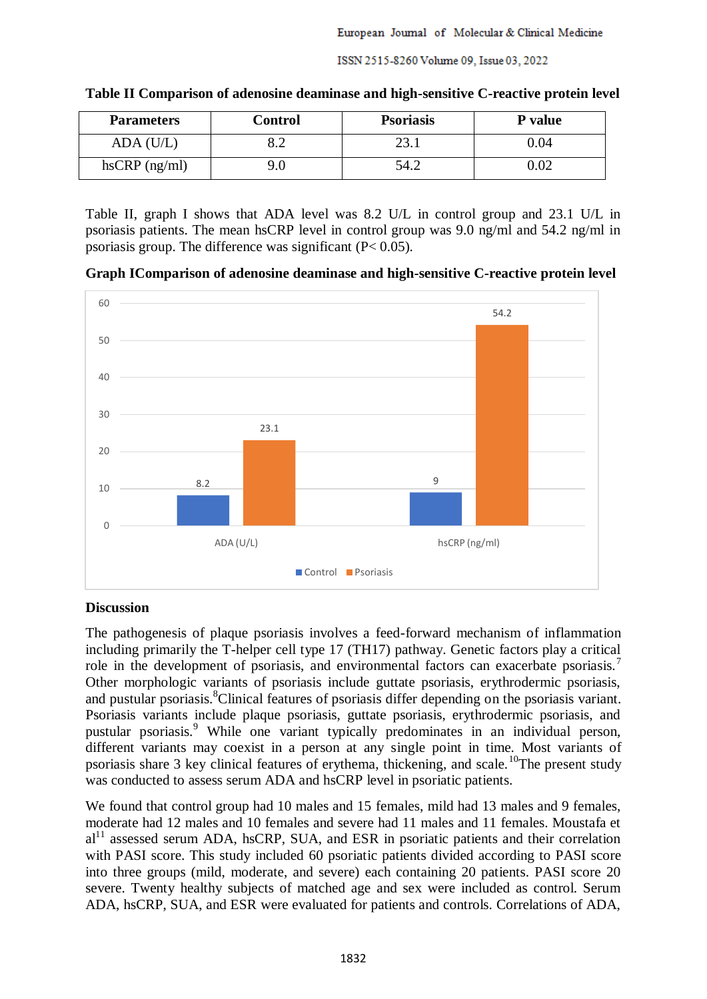| <b>Parameters</b>   | Control | <b>Psoriasis</b> | <b>P</b> value |  |
|---------------------|---------|------------------|----------------|--|
| ADA (U/L)           | ے.د     | 23.1             | $0.04\,$       |  |
| $h$ s $CRP$ (ng/ml) | 0.(     | 54.2             | $0.02\,$       |  |

| Table II Comparison of adenosine deaminase and high-sensitive C-reactive protein level |  |  |  |
|----------------------------------------------------------------------------------------|--|--|--|

Table II, graph I shows that ADA level was 8.2 U/L in control group and 23.1 U/L in psoriasis patients. The mean hsCRP level in control group was 9.0 ng/ml and 54.2 ng/ml in psoriasis group. The difference was significant (P< 0.05).

**Graph IComparison of adenosine deaminase and high-sensitive C-reactive protein level**



### **Discussion**

The pathogenesis of plaque psoriasis involves a feed-forward mechanism of inflammation including primarily the T-helper cell type 17 (TH17) pathway. Genetic factors play a critical role in the development of psoriasis, and environmental factors can exacerbate psoriasis.<sup>7</sup> Other morphologic variants of psoriasis include guttate psoriasis, erythrodermic psoriasis, and pustular psoriasis.<sup>8</sup>Clinical features of psoriasis differ depending on the psoriasis variant. Psoriasis variants include plaque psoriasis, guttate psoriasis, erythrodermic psoriasis, and pustular psoriasis.<sup>9</sup> While one variant typically predominates in an individual person, different variants may coexist in a person at any single point in time. Most variants of psoriasis share 3 key clinical features of erythema, thickening, and scale.<sup>10</sup>The present study was conducted to assess serum ADA and hsCRP level in psoriatic patients.

We found that control group had 10 males and 15 females, mild had 13 males and 9 females, moderate had 12 males and 10 females and severe had 11 males and 11 females. Moustafa et  $al<sup>11</sup>$  assessed serum ADA, hsCRP, SUA, and ESR in psoriatic patients and their correlation with PASI score. This study included 60 psoriatic patients divided according to PASI score into three groups (mild, moderate, and severe) each containing 20 patients. PASI score 20 severe. Twenty healthy subjects of matched age and sex were included as control. Serum ADA, hsCRP, SUA, and ESR were evaluated for patients and controls. Correlations of ADA,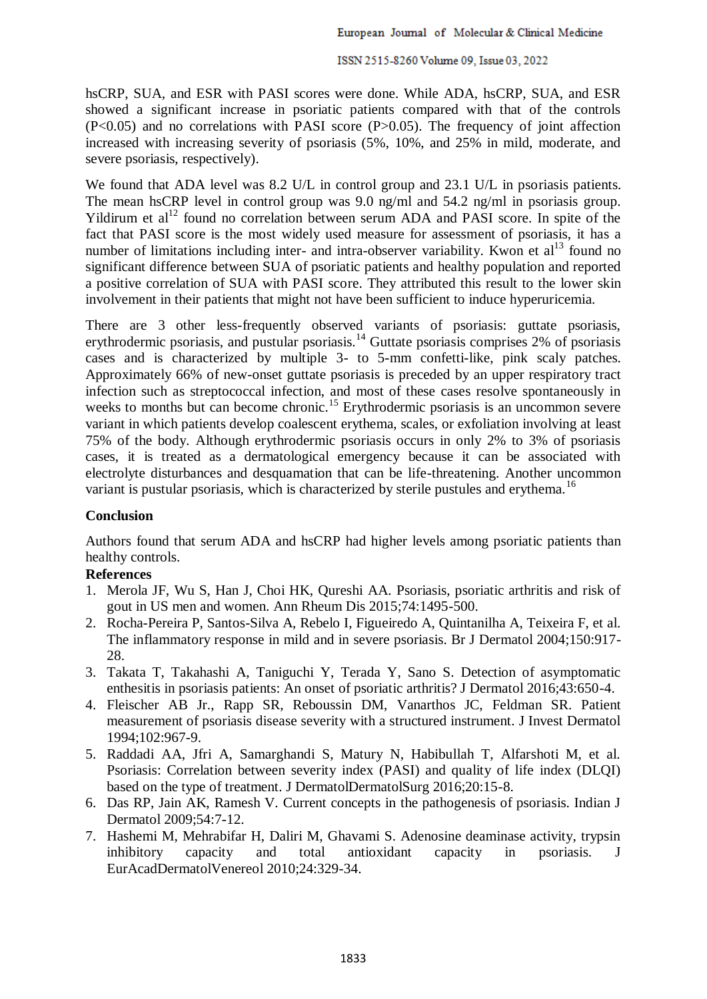hsCRP, SUA, and ESR with PASI scores were done. While ADA, hsCRP, SUA, and ESR showed a significant increase in psoriatic patients compared with that of the controls  $(P<0.05)$  and no correlations with PASI score  $(P>0.05)$ . The frequency of joint affection increased with increasing severity of psoriasis (5%, 10%, and 25% in mild, moderate, and severe psoriasis, respectively).

We found that ADA level was 8.2 U/L in control group and 23.1 U/L in psoriasis patients. The mean hsCRP level in control group was 9.0 ng/ml and 54.2 ng/ml in psoriasis group. Yildirum et al<sup>12</sup> found no correlation between serum ADA and PASI score. In spite of the fact that PASI score is the most widely used measure for assessment of psoriasis, it has a number of limitations including inter- and intra-observer variability. Kwon et  $al<sup>13</sup>$  found no significant difference between SUA of psoriatic patients and healthy population and reported a positive correlation of SUA with PASI score. They attributed this result to the lower skin involvement in their patients that might not have been sufficient to induce hyperuricemia.

There are 3 other less-frequently observed variants of psoriasis: guttate psoriasis, erythrodermic psoriasis, and pustular psoriasis.<sup>14</sup> Guttate psoriasis comprises 2% of psoriasis cases and is characterized by multiple 3- to 5-mm confetti-like, pink scaly patches. Approximately 66% of new-onset guttate psoriasis is preceded by an upper respiratory tract infection such as streptococcal infection, and most of these cases resolve spontaneously in weeks to months but can become chronic.<sup>15</sup> Erythrodermic psoriasis is an uncommon severe variant in which patients develop coalescent erythema, scales, or exfoliation involving at least 75% of the body. Although erythrodermic psoriasis occurs in only 2% to 3% of psoriasis cases, it is treated as a dermatological emergency because it can be associated with electrolyte disturbances and desquamation that can be life-threatening. Another uncommon variant is pustular psoriasis, which is characterized by sterile pustules and erythema.<sup>16</sup>

### **Conclusion**

Authors found that serum ADA and hsCRP had higher levels among psoriatic patients than healthy controls.

### **References**

- 1. Merola JF, Wu S, Han J, Choi HK, Qureshi AA. Psoriasis, psoriatic arthritis and risk of gout in US men and women. Ann Rheum Dis 2015;74:1495-500.
- 2. Rocha-Pereira P, Santos-Silva A, Rebelo I, Figueiredo A, Quintanilha A, Teixeira F, et al. The inflammatory response in mild and in severe psoriasis. Br J Dermatol 2004;150:917- 28.
- 3. Takata T, Takahashi A, Taniguchi Y, Terada Y, Sano S. Detection of asymptomatic enthesitis in psoriasis patients: An onset of psoriatic arthritis? J Dermatol 2016;43:650-4.
- 4. Fleischer AB Jr., Rapp SR, Reboussin DM, Vanarthos JC, Feldman SR. Patient measurement of psoriasis disease severity with a structured instrument. J Invest Dermatol 1994;102:967-9.
- 5. Raddadi AA, Jfri A, Samarghandi S, Matury N, Habibullah T, Alfarshoti M, et al. Psoriasis: Correlation between severity index (PASI) and quality of life index (DLQI) based on the type of treatment. J DermatolDermatolSurg 2016;20:15-8.
- 6. Das RP, Jain AK, Ramesh V. Current concepts in the pathogenesis of psoriasis. Indian J Dermatol 2009;54:7-12.
- 7. Hashemi M, Mehrabifar H, Daliri M, Ghavami S. Adenosine deaminase activity, trypsin inhibitory capacity and total antioxidant capacity in psoriasis. J EurAcadDermatolVenereol 2010;24:329-34.